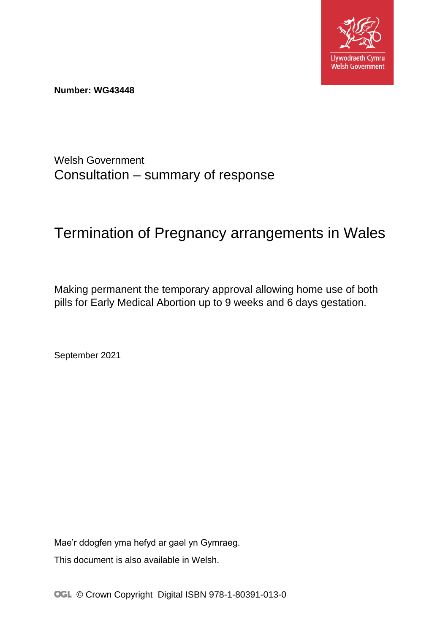

**Number: WG43448**

Welsh Government Consultation – summary of response

# Termination of Pregnancy arrangements in Wales

Making permanent the temporary approval allowing home use of both pills for Early Medical Abortion up to 9 weeks and 6 days gestation.

September 2021

Mae'r ddogfen yma hefyd ar gael yn Gymraeg.

This document is also available in Welsh.

OGL © Crown Copyright Digital ISBN 978-1-80391-013-0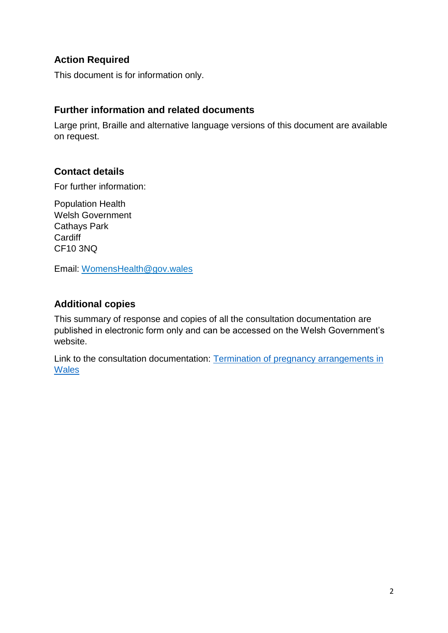### **Action Required**

This document is for information only.

### **Further information and related documents**

Large print, Braille and alternative language versions of this document are available on request.

### **Contact details**

For further information:

Population Health Welsh Government Cathays Park **Cardiff** CF10 3NQ

Email: WomensHealth@gov.wales

### **Additional copies**

This summary of response and copies of all the consultation documentation are published in electronic form only and can be accessed on the Welsh Government's website.

Link to the consultation documentation: [Termination of pregnancy arrangements in](https://gov.wales/termination-pregnancy-arrangements-wales)  **[Wales](https://gov.wales/termination-pregnancy-arrangements-wales)**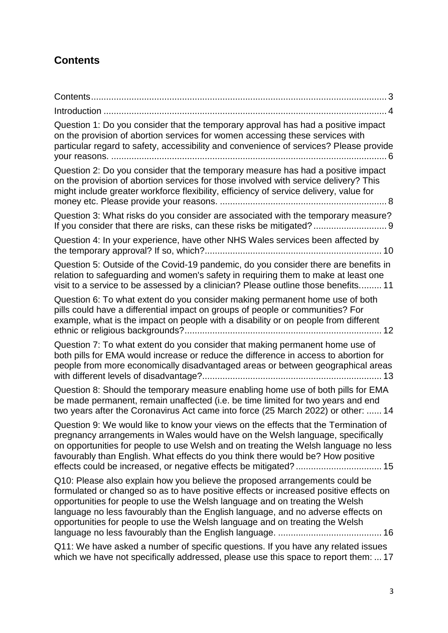# <span id="page-2-0"></span>**Contents**

| Question 1: Do you consider that the temporary approval has had a positive impact<br>on the provision of abortion services for women accessing these services with<br>particular regard to safety, accessibility and convenience of services? Please provide                                                                                                                                                                                                                                                  |
|---------------------------------------------------------------------------------------------------------------------------------------------------------------------------------------------------------------------------------------------------------------------------------------------------------------------------------------------------------------------------------------------------------------------------------------------------------------------------------------------------------------|
| Question 2: Do you consider that the temporary measure has had a positive impact<br>on the provision of abortion services for those involved with service delivery? This<br>might include greater workforce flexibility, efficiency of service delivery, value for                                                                                                                                                                                                                                            |
| Question 3: What risks do you consider are associated with the temporary measure?<br>If you consider that there are risks, can these risks be mitigated?  9                                                                                                                                                                                                                                                                                                                                                   |
| Question 4: In your experience, have other NHS Wales services been affected by                                                                                                                                                                                                                                                                                                                                                                                                                                |
| Question 5: Outside of the Covid-19 pandemic, do you consider there are benefits in<br>relation to safeguarding and women's safety in requiring them to make at least one<br>visit to a service to be assessed by a clinician? Please outline those benefits 11                                                                                                                                                                                                                                               |
| Question 6: To what extent do you consider making permanent home use of both<br>pills could have a differential impact on groups of people or communities? For<br>example, what is the impact on people with a disability or on people from different<br>12                                                                                                                                                                                                                                                   |
| Question 7: To what extent do you consider that making permanent home use of<br>both pills for EMA would increase or reduce the difference in access to abortion for<br>people from more economically disadvantaged areas or between geographical areas                                                                                                                                                                                                                                                       |
| Question 8: Should the temporary measure enabling home use of both pills for EMA<br>be made permanent, remain unaffected (i.e. be time limited for two years and end<br>two years after the Coronavirus Act came into force (25 March 2022) or other:  14                                                                                                                                                                                                                                                     |
| Question 9: We would like to know your views on the effects that the Termination of<br>pregnancy arrangements in Wales would have on the Welsh language, specifically<br>on opportunities for people to use Welsh and on treating the Welsh language no less<br>favourably than English. What effects do you think there would be? How positive                                                                                                                                                               |
| Q10: Please also explain how you believe the proposed arrangements could be<br>formulated or changed so as to have positive effects or increased positive effects on<br>opportunities for people to use the Welsh language and on treating the Welsh<br>language no less favourably than the English language, and no adverse effects on<br>opportunities for people to use the Welsh language and on treating the Welsh<br>Q11: We have asked a number of specific questions. If you have any related issues |
| which we have not specifically addressed, please use this space to report them:  17                                                                                                                                                                                                                                                                                                                                                                                                                           |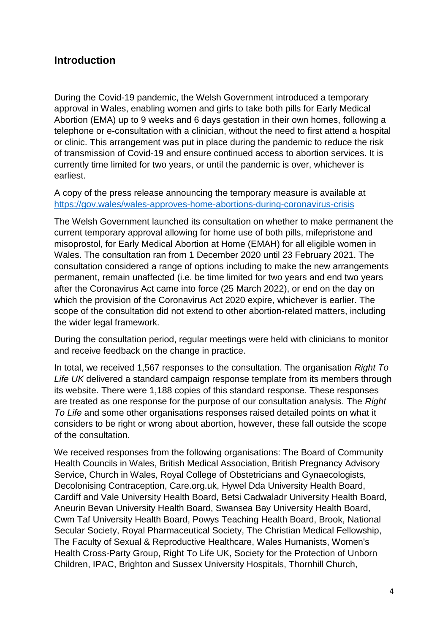### <span id="page-3-0"></span>**Introduction**

During the Covid-19 pandemic, the Welsh Government introduced a temporary approval in Wales, enabling women and girls to take both pills for Early Medical Abortion (EMA) up to 9 weeks and 6 days gestation in their own homes, following a telephone or e-consultation with a clinician, without the need to first attend a hospital or clinic. This arrangement was put in place during the pandemic to reduce the risk of transmission of Covid-19 and ensure continued access to abortion services. It is currently time limited for two years, or until the pandemic is over, whichever is earliest.

A copy of the press release announcing the temporary measure is available at <https://gov.wales/wales-approves-home-abortions-during-coronavirus-crisis>

The Welsh Government launched its consultation on whether to make permanent the current temporary approval allowing for home use of both pills, mifepristone and misoprostol, for Early Medical Abortion at Home (EMAH) for all eligible women in Wales. The consultation ran from 1 December 2020 until 23 February 2021. The consultation considered a range of options including to make the new arrangements permanent, remain unaffected (i.e. be time limited for two years and end two years after the Coronavirus Act came into force (25 March 2022), or end on the day on which the provision of the Coronavirus Act 2020 expire, whichever is earlier. The scope of the consultation did not extend to other abortion-related matters, including the wider legal framework.

During the consultation period, regular meetings were held with clinicians to monitor and receive feedback on the change in practice.

In total, we received 1,567 responses to the consultation. The organisation *Right To Life UK* delivered a standard campaign response template from its members through its website. There were 1,188 copies of this standard response. These responses are treated as one response for the purpose of our consultation analysis. The *Right To Life* and some other organisations responses raised detailed points on what it considers to be right or wrong about abortion, however, these fall outside the scope of the consultation.

We received responses from the following organisations: The Board of Community Health Councils in Wales, British Medical Association, British Pregnancy Advisory Service, Church in Wales, Royal College of Obstetricians and Gynaecologists, Decolonising Contraception, Care.org.uk, Hywel Dda University Health Board, Cardiff and Vale University Health Board, Betsi Cadwaladr University Health Board, Aneurin Bevan University Health Board, Swansea Bay University Health Board, Cwm Taf University Health Board, Powys Teaching Health Board, Brook, National Secular Society, Royal Pharmaceutical Society, The Christian Medical Fellowship, The Faculty of Sexual & Reproductive Healthcare, Wales Humanists, Women's Health Cross-Party Group, Right To Life UK, Society for the Protection of Unborn Children, IPAC, Brighton and Sussex University Hospitals, Thornhill Church,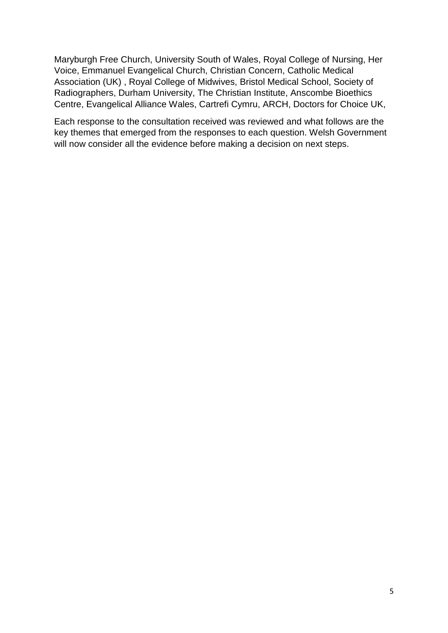Maryburgh Free Church, University South of Wales, Royal College of Nursing, Her Voice, Emmanuel Evangelical Church, Christian Concern, Catholic Medical Association (UK) , Royal College of Midwives, Bristol Medical School, Society of Radiographers, Durham University, The Christian Institute, Anscombe Bioethics Centre, Evangelical Alliance Wales, Cartrefi Cymru, ARCH, Doctors for Choice UK,

Each response to the consultation received was reviewed and what follows are the key themes that emerged from the responses to each question. Welsh Government will now consider all the evidence before making a decision on next steps.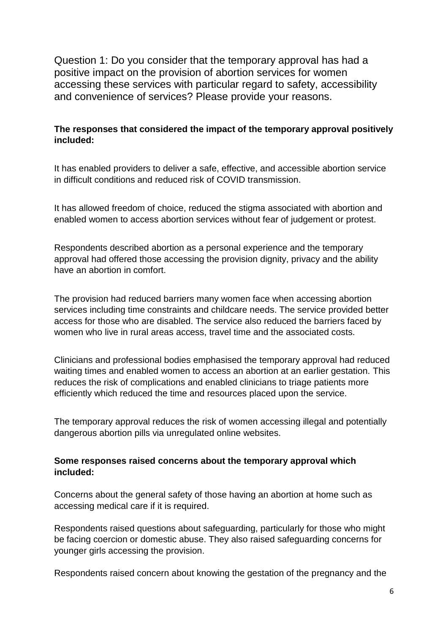<span id="page-5-0"></span>Question 1: Do you consider that the temporary approval has had a positive impact on the provision of abortion services for women accessing these services with particular regard to safety, accessibility and convenience of services? Please provide your reasons.

### **The responses that considered the impact of the temporary approval positively included:**

It has enabled providers to deliver a safe, effective, and accessible abortion service in difficult conditions and reduced risk of COVID transmission.

It has allowed freedom of choice, reduced the stigma associated with abortion and enabled women to access abortion services without fear of judgement or protest.

Respondents described abortion as a personal experience and the temporary approval had offered those accessing the provision dignity, privacy and the ability have an abortion in comfort.

The provision had reduced barriers many women face when accessing abortion services including time constraints and childcare needs. The service provided better access for those who are disabled. The service also reduced the barriers faced by women who live in rural areas access, travel time and the associated costs.

Clinicians and professional bodies emphasised the temporary approval had reduced waiting times and enabled women to access an abortion at an earlier gestation. This reduces the risk of complications and enabled clinicians to triage patients more efficiently which reduced the time and resources placed upon the service.

The temporary approval reduces the risk of women accessing illegal and potentially dangerous abortion pills via unregulated online websites.

### **Some responses raised concerns about the temporary approval which included:**

Concerns about the general safety of those having an abortion at home such as accessing medical care if it is required.

Respondents raised questions about safeguarding, particularly for those who might be facing coercion or domestic abuse. They also raised safeguarding concerns for younger girls accessing the provision.

Respondents raised concern about knowing the gestation of the pregnancy and the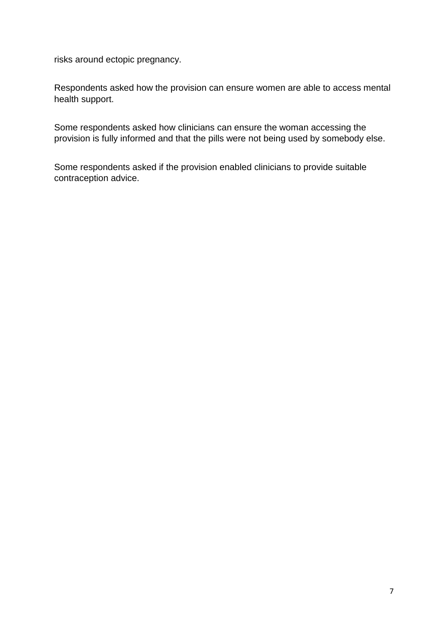risks around ectopic pregnancy.

Respondents asked how the provision can ensure women are able to access mental health support.

Some respondents asked how clinicians can ensure the woman accessing the provision is fully informed and that the pills were not being used by somebody else.

Some respondents asked if the provision enabled clinicians to provide suitable contraception advice.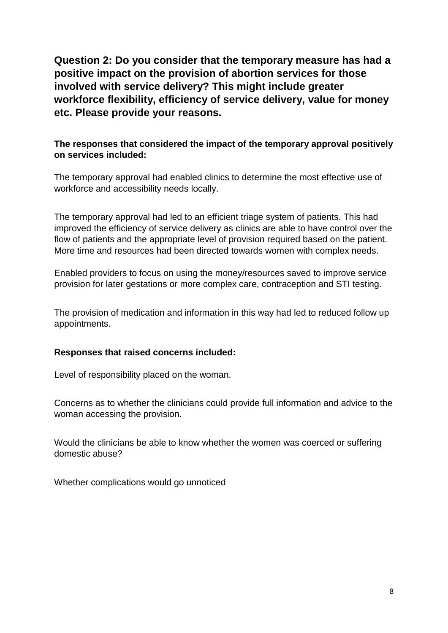<span id="page-7-0"></span>**Question 2: Do you consider that the temporary measure has had a positive impact on the provision of abortion services for those involved with service delivery? This might include greater workforce flexibility, efficiency of service delivery, value for money etc. Please provide your reasons.**

### **The responses that considered the impact of the temporary approval positively on services included:**

The temporary approval had enabled clinics to determine the most effective use of workforce and accessibility needs locally.

The temporary approval had led to an efficient triage system of patients. This had improved the efficiency of service delivery as clinics are able to have control over the flow of patients and the appropriate level of provision required based on the patient. More time and resources had been directed towards women with complex needs.

Enabled providers to focus on using the money/resources saved to improve service provision for later gestations or more complex care, contraception and STI testing.

The provision of medication and information in this way had led to reduced follow up appointments.

### **Responses that raised concerns included:**

Level of responsibility placed on the woman.

Concerns as to whether the clinicians could provide full information and advice to the woman accessing the provision.

Would the clinicians be able to know whether the women was coerced or suffering domestic abuse?

Whether complications would go unnoticed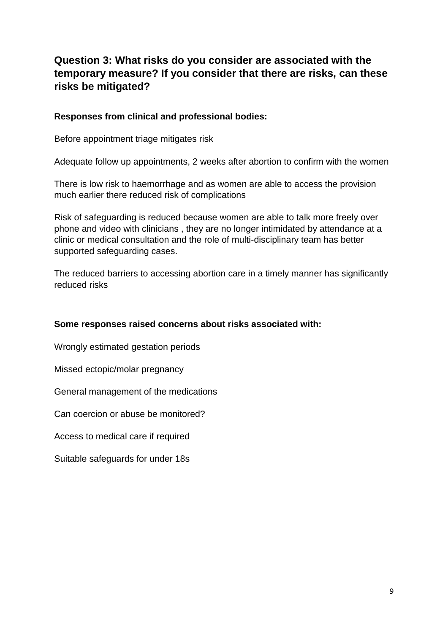## <span id="page-8-0"></span>**Question 3: What risks do you consider are associated with the temporary measure? If you consider that there are risks, can these risks be mitigated?**

#### **Responses from clinical and professional bodies:**

Before appointment triage mitigates risk

Adequate follow up appointments, 2 weeks after abortion to confirm with the women

There is low risk to haemorrhage and as women are able to access the provision much earlier there reduced risk of complications

Risk of safeguarding is reduced because women are able to talk more freely over phone and video with clinicians , they are no longer intimidated by attendance at a clinic or medical consultation and the role of multi-disciplinary team has better supported safeguarding cases.

The reduced barriers to accessing abortion care in a timely manner has significantly reduced risks

### **Some responses raised concerns about risks associated with:**

Wrongly estimated gestation periods

Missed ectopic/molar pregnancy

General management of the medications

Can coercion or abuse be monitored?

Access to medical care if required

Suitable safeguards for under 18s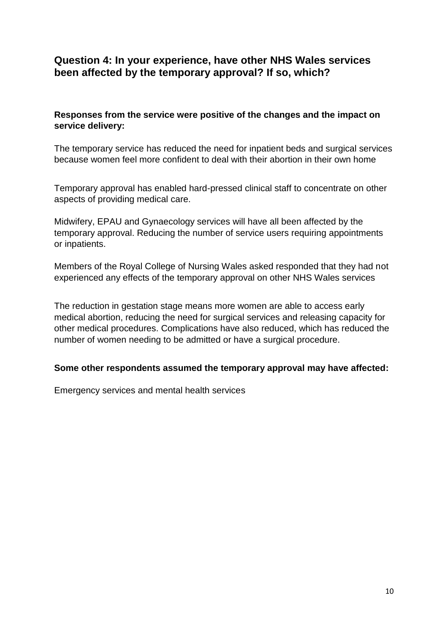### <span id="page-9-0"></span>**Question 4: In your experience, have other NHS Wales services been affected by the temporary approval? If so, which?**

### **Responses from the service were positive of the changes and the impact on service delivery:**

The temporary service has reduced the need for inpatient beds and surgical services because women feel more confident to deal with their abortion in their own home

Temporary approval has enabled hard-pressed clinical staff to concentrate on other aspects of providing medical care.

Midwifery, EPAU and Gynaecology services will have all been affected by the temporary approval. Reducing the number of service users requiring appointments or inpatients.

Members of the Royal College of Nursing Wales asked responded that they had not experienced any effects of the temporary approval on other NHS Wales services

The reduction in gestation stage means more women are able to access early medical abortion, reducing the need for surgical services and releasing capacity for other medical procedures. Complications have also reduced, which has reduced the number of women needing to be admitted or have a surgical procedure.

#### **Some other respondents assumed the temporary approval may have affected:**

Emergency services and mental health services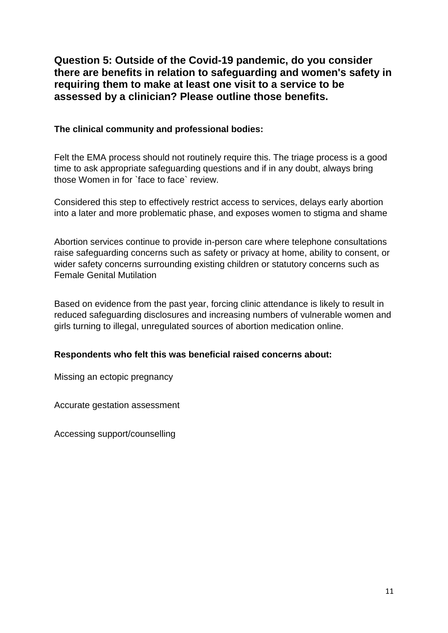<span id="page-10-0"></span>**Question 5: Outside of the Covid-19 pandemic, do you consider there are benefits in relation to safeguarding and women's safety in requiring them to make at least one visit to a service to be assessed by a clinician? Please outline those benefits.**

#### **The clinical community and professional bodies:**

Felt the EMA process should not routinely require this. The triage process is a good time to ask appropriate safeguarding questions and if in any doubt, always bring those Women in for `face to face` review.

Considered this step to effectively restrict access to services, delays early abortion into a later and more problematic phase, and exposes women to stigma and shame

Abortion services continue to provide in-person care where telephone consultations raise safeguarding concerns such as safety or privacy at home, ability to consent, or wider safety concerns surrounding existing children or statutory concerns such as Female Genital Mutilation

Based on evidence from the past year, forcing clinic attendance is likely to result in reduced safeguarding disclosures and increasing numbers of vulnerable women and girls turning to illegal, unregulated sources of abortion medication online.

#### **Respondents who felt this was beneficial raised concerns about:**

Missing an ectopic pregnancy

Accurate gestation assessment

Accessing support/counselling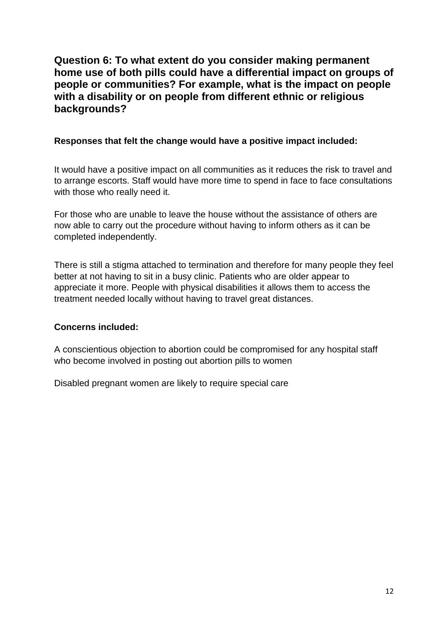### <span id="page-11-0"></span>**Question 6: To what extent do you consider making permanent home use of both pills could have a differential impact on groups of people or communities? For example, what is the impact on people with a disability or on people from different ethnic or religious backgrounds?**

### **Responses that felt the change would have a positive impact included:**

It would have a positive impact on all communities as it reduces the risk to travel and to arrange escorts. Staff would have more time to spend in face to face consultations with those who really need it.

For those who are unable to leave the house without the assistance of others are now able to carry out the procedure without having to inform others as it can be completed independently.

There is still a stigma attached to termination and therefore for many people they feel better at not having to sit in a busy clinic. Patients who are older appear to appreciate it more. People with physical disabilities it allows them to access the treatment needed locally without having to travel great distances.

### **Concerns included:**

A conscientious objection to abortion could be compromised for any hospital staff who become involved in posting out abortion pills to women

Disabled pregnant women are likely to require special care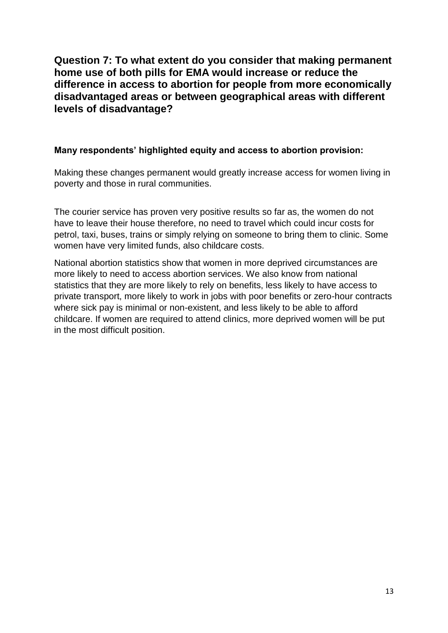<span id="page-12-0"></span>**Question 7: To what extent do you consider that making permanent home use of both pills for EMA would increase or reduce the difference in access to abortion for people from more economically disadvantaged areas or between geographical areas with different levels of disadvantage?**

#### **Many respondents' highlighted equity and access to abortion provision:**

Making these changes permanent would greatly increase access for women living in poverty and those in rural communities.

The courier service has proven very positive results so far as, the women do not have to leave their house therefore, no need to travel which could incur costs for petrol, taxi, buses, trains or simply relying on someone to bring them to clinic. Some women have very limited funds, also childcare costs.

National abortion statistics show that women in more deprived circumstances are more likely to need to access abortion services. We also know from national statistics that they are more likely to rely on benefits, less likely to have access to private transport, more likely to work in jobs with poor benefits or zero-hour contracts where sick pay is minimal or non-existent, and less likely to be able to afford childcare. If women are required to attend clinics, more deprived women will be put in the most difficult position.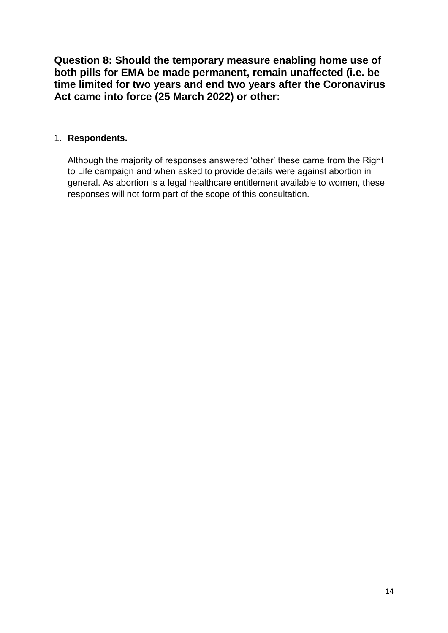<span id="page-13-0"></span>**Question 8: Should the temporary measure enabling home use of both pills for EMA be made permanent, remain unaffected (i.e. be time limited for two years and end two years after the Coronavirus Act came into force (25 March 2022) or other:**

### 1. **Respondents.**

Although the majority of responses answered 'other' these came from the Right to Life campaign and when asked to provide details were against abortion in general. As abortion is a legal healthcare entitlement available to women, these responses will not form part of the scope of this consultation.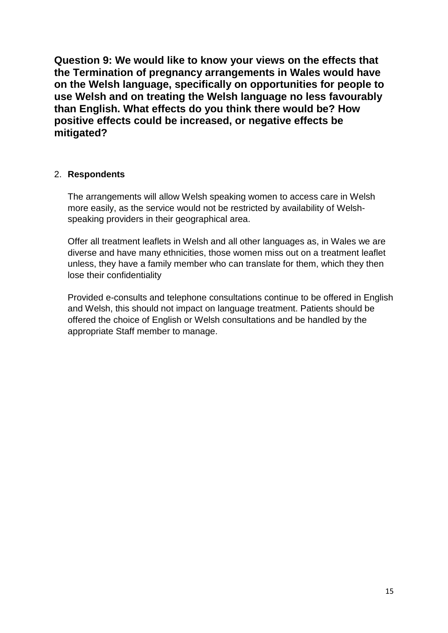<span id="page-14-0"></span>**Question 9: We would like to know your views on the effects that the Termination of pregnancy arrangements in Wales would have on the Welsh language, specifically on opportunities for people to use Welsh and on treating the Welsh language no less favourably than English. What effects do you think there would be? How positive effects could be increased, or negative effects be mitigated?**

#### 2. **Respondents**

The arrangements will allow Welsh speaking women to access care in Welsh more easily, as the service would not be restricted by availability of Welshspeaking providers in their geographical area.

Offer all treatment leaflets in Welsh and all other languages as, in Wales we are diverse and have many ethnicities, those women miss out on a treatment leaflet unless, they have a family member who can translate for them, which they then lose their confidentiality

Provided e-consults and telephone consultations continue to be offered in English and Welsh, this should not impact on language treatment. Patients should be offered the choice of English or Welsh consultations and be handled by the appropriate Staff member to manage.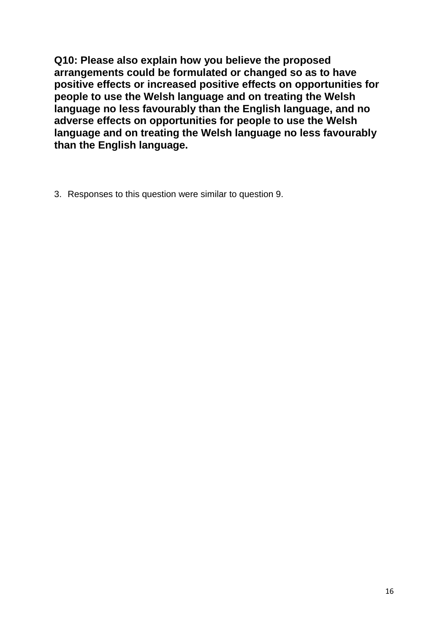<span id="page-15-0"></span>**Q10: Please also explain how you believe the proposed arrangements could be formulated or changed so as to have positive effects or increased positive effects on opportunities for people to use the Welsh language and on treating the Welsh language no less favourably than the English language, and no adverse effects on opportunities for people to use the Welsh language and on treating the Welsh language no less favourably than the English language.**

3. Responses to this question were similar to question 9.